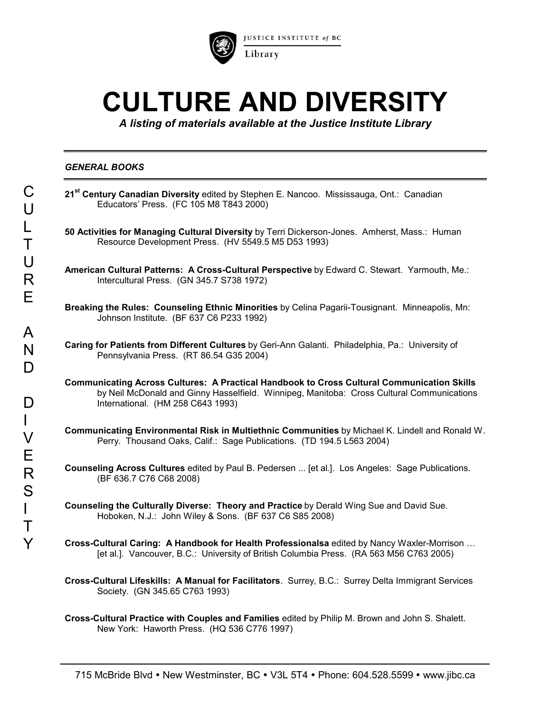

JUSTICE INSTITUTE of BC

# **CULTURE AND DIVERSITY**

*A listing of materials available at the Justice Institute Library*

## *GENERAL BOOKS*

| Ċ.<br>U                   | 21 <sup>st</sup> Century Canadian Diversity edited by Stephen E. Nancoo. Mississauga, Ont.: Canadian<br>Educators' Press. (FC 105 M8 T843 2000)                                                                                     |
|---------------------------|-------------------------------------------------------------------------------------------------------------------------------------------------------------------------------------------------------------------------------------|
| L<br>Τ                    | 50 Activities for Managing Cultural Diversity by Terri Dickerson-Jones. Amherst, Mass.: Human<br>Resource Development Press. (HV 5549.5 M5 D53 1993)                                                                                |
| $\bigcup$<br>R            | American Cultural Patterns: A Cross-Cultural Perspective by Edward C. Stewart. Yarmouth, Me.:<br>Intercultural Press. (GN 345.7 S738 1972)                                                                                          |
| E                         | Breaking the Rules: Counseling Ethnic Minorities by Celina Pagarii-Tousignant. Minneapolis, Mn:<br>Johnson Institute. (BF 637 C6 P233 1992)                                                                                         |
| A<br>N<br>D               | Caring for Patients from Different Cultures by Geri-Ann Galanti. Philadelphia, Pa.: University of<br>Pennsylvania Press. (RT 86.54 G35 2004)                                                                                        |
| D                         | <b>Communicating Across Cultures: A Practical Handbook to Cross Cultural Communication Skills</b><br>by Neil McDonald and Ginny Hasselfield. Winnipeg, Manitoba: Cross Cultural Communications<br>International. (HM 258 C643 1993) |
| $\mathsf{L}$<br>$\bigvee$ | Communicating Environmental Risk in Multiethnic Communities by Michael K. Lindell and Ronald W.<br>Perry. Thousand Oaks, Calif.: Sage Publications. (TD 194.5 L563 2004)                                                            |
| Е<br>R<br>S               | Counseling Across Cultures edited by Paul B. Pedersen  [et al.]. Los Angeles: Sage Publications.<br>(BF 636.7 C76 C68 2008)                                                                                                         |
| Τ                         | Counseling the Culturally Diverse: Theory and Practice by Derald Wing Sue and David Sue.<br>Hoboken, N.J.: John Wiley & Sons. (BF 637 C6 S85 2008)                                                                                  |
| Y                         | Cross-Cultural Caring: A Handbook for Health Professionalsa edited by Nancy Waxler-Morrison<br>[et al.]. Vancouver, B.C.: University of British Columbia Press. (RA 563 M56 C763 2005)                                              |
|                           | Cross-Cultural Lifeskills: A Manual for Facilitators. Surrey, B.C.: Surrey Delta Immigrant Services                                                                                                                                 |

**Cross-Cultural Practice with Couples and Families** edited by Philip M. Brown and John S. Shalett. New York: Haworth Press. (HQ 536 C776 1997)

Society. (GN 345.65 C763 1993)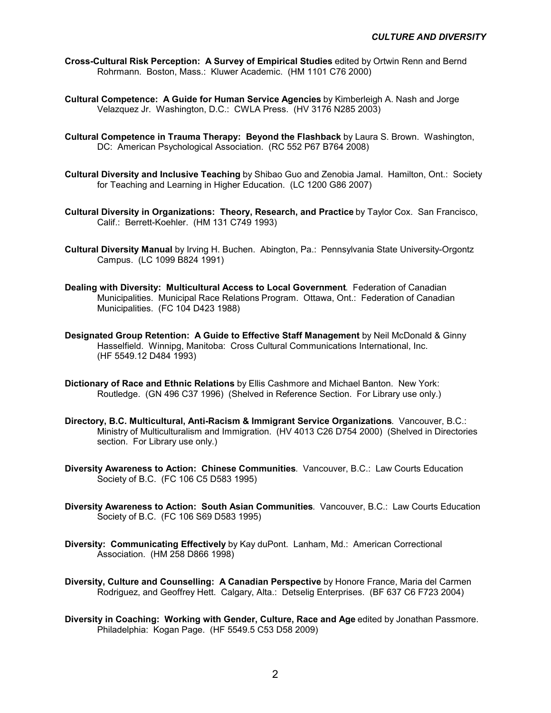- **Cross-Cultural Risk Perception: A Survey of Empirical Studies** edited by Ortwin Renn and Bernd Rohrmann. Boston, Mass.: Kluwer Academic. (HM 1101 C76 2000)
- **Cultural Competence: A Guide for Human Service Agencies** by Kimberleigh A. Nash and Jorge Velazquez Jr. Washington, D.C.: CWLA Press. (HV 3176 N285 2003)
- **Cultural Competence in Trauma Therapy: Beyond the Flashback** by Laura S. Brown. Washington, DC: American Psychological Association. (RC 552 P67 B764 2008)
- **Cultural Diversity and Inclusive Teaching** by Shibao Guo and Zenobia Jamal. Hamilton, Ont.: Society for Teaching and Learning in Higher Education. (LC 1200 G86 2007)
- **Cultural Diversity in Organizations: Theory, Research, and Practice** by Taylor Cox. San Francisco, Calif.: Berrett-Koehler. (HM 131 C749 1993)
- **Cultural Diversity Manual** by Irving H. Buchen. Abington, Pa.: Pennsylvania State University-Orgontz Campus. (LC 1099 B824 1991)
- **Dealing with Diversity: Multicultural Access to Local Government**. Federation of Canadian Municipalities. Municipal Race Relations Program. Ottawa, Ont.: Federation of Canadian Municipalities. (FC 104 D423 1988)
- **Designated Group Retention: A Guide to Effective Staff Management** by Neil McDonald & Ginny Hasselfield. Winnipg, Manitoba: Cross Cultural Communications International, Inc. (HF 5549.12 D484 1993)
- **Dictionary of Race and Ethnic Relations** by Ellis Cashmore and Michael Banton. New York: Routledge. (GN 496 C37 1996) (Shelved in Reference Section. For Library use only.)
- **Directory, B.C. Multicultural, Anti-Racism & Immigrant Service Organizations**. Vancouver, B.C.: Ministry of Multiculturalism and Immigration. (HV 4013 C26 D754 2000) (Shelved in Directories section. For Library use only.)
- **Diversity Awareness to Action: Chinese Communities**. Vancouver, B.C.: Law Courts Education Society of B.C. (FC 106 C5 D583 1995)
- **Diversity Awareness to Action: South Asian Communities**. Vancouver, B.C.: Law Courts Education Society of B.C. (FC 106 S69 D583 1995)
- **Diversity: Communicating Effectively** by Kay duPont. Lanham, Md.: American Correctional Association. (HM 258 D866 1998)
- **Diversity, Culture and Counselling: A Canadian Perspective** by Honore France, Maria del Carmen Rodriguez, and Geoffrey Hett. Calgary, Alta.: Detselig Enterprises. (BF 637 C6 F723 2004)
- **Diversity in Coaching: Working with Gender, Culture, Race and Age** edited by Jonathan Passmore. Philadelphia: Kogan Page. (HF 5549.5 C53 D58 2009)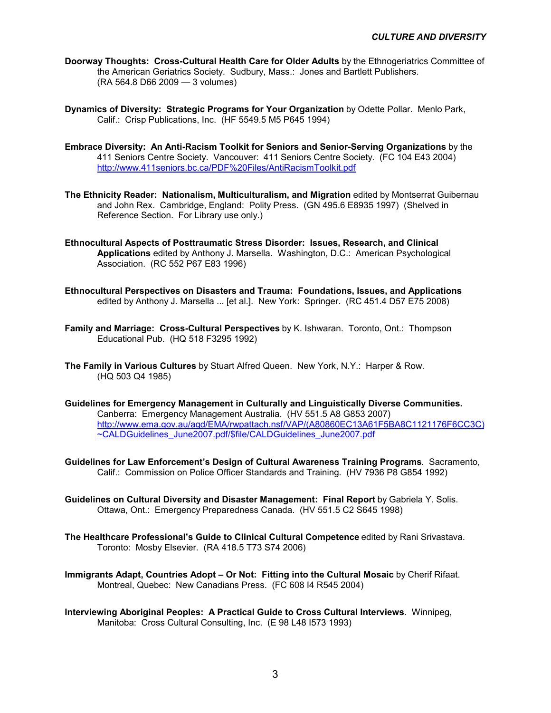- **Doorway Thoughts: Cross-Cultural Health Care for Older Adults** by the Ethnogeriatrics Committee of the American Geriatrics Society. Sudbury, Mass.: Jones and Bartlett Publishers. (RA 564.8 D66 2009 — 3 volumes)
- **Dynamics of Diversity: Strategic Programs for Your Organization** by Odette Pollar. Menlo Park, Calif.: Crisp Publications, Inc. (HF 5549.5 M5 P645 1994)
- **Embrace Diversity: An Anti-Racism Toolkit for Seniors and Senior-Serving Organizations** by the 411 Seniors Centre Society. Vancouver: 411 Seniors Centre Society. (FC 104 E43 2004) <http://www.411seniors.bc.ca/PDF%20Files/AntiRacismToolkit.pdf>
- **The Ethnicity Reader: Nationalism, Multiculturalism, and Migration** edited by Montserrat Guibernau and John Rex. Cambridge, England: Polity Press. (GN 495.6 E8935 1997) (Shelved in Reference Section. For Library use only.)
- **Ethnocultural Aspects of Posttraumatic Stress Disorder: Issues, Research, and Clinical Applications** edited by Anthony J. Marsella. Washington, D.C.: American Psychological Association. (RC 552 P67 E83 1996)
- **Ethnocultural Perspectives on Disasters and Trauma: Foundations, Issues, and Applications** edited by Anthony J. Marsella ... [et al.]. New York: Springer. (RC 451.4 D57 E75 2008)
- **Family and Marriage: Cross-Cultural Perspectives** by K. Ishwaran. Toronto, Ont.: Thompson Educational Pub. (HQ 518 F3295 1992)
- **The Family in Various Cultures** by Stuart Alfred Queen. New York, N.Y.: Harper & Row. (HQ 503 Q4 1985)
- **Guidelines for Emergency Management in Culturally and Linguistically Diverse Communities.** Canberra: Emergency Management Australia. (HV 551.5 A8 G853 2007) [http://www.ema.gov.au/agd/EMA/rwpattach.nsf/VAP/\(A80860EC13A61F5BA8C1121176F6CC3C\)](http://www.ema.gov.au/agd/EMA/rwpattach.nsf/VAP/(A80860EC13A61F5BA8C1121176F6CC3C)%7ECALDGuidelines_June2007.pdf/$file/CALDGuidelines_June2007.pdf) [~CALDGuidelines\\_June2007.pdf/\\$file/CALDGuidelines\\_June2007.pdf](http://www.ema.gov.au/agd/EMA/rwpattach.nsf/VAP/(A80860EC13A61F5BA8C1121176F6CC3C)%7ECALDGuidelines_June2007.pdf/$file/CALDGuidelines_June2007.pdf)
- **Guidelines for Law Enforcement's Design of Cultural Awareness Training Programs**. Sacramento, Calif.: Commission on Police Officer Standards and Training. (HV 7936 P8 G854 1992)
- **Guidelines on Cultural Diversity and Disaster Management: Final Report** by Gabriela Y. Solis. Ottawa, Ont.: Emergency Preparedness Canada. (HV 551.5 C2 S645 1998)
- **The Healthcare Professional's Guide to Clinical Cultural Competence** edited by Rani Srivastava. Toronto: Mosby Elsevier. (RA 418.5 T73 S74 2006)
- **Immigrants Adapt, Countries Adopt Or Not: Fitting into the Cultural Mosaic** by Cherif Rifaat. Montreal, Quebec: New Canadians Press. (FC 608 I4 R545 2004)
- **Interviewing Aboriginal Peoples: A Practical Guide to Cross Cultural Interviews**. Winnipeg, Manitoba: Cross Cultural Consulting, Inc. (E 98 L48 I573 1993)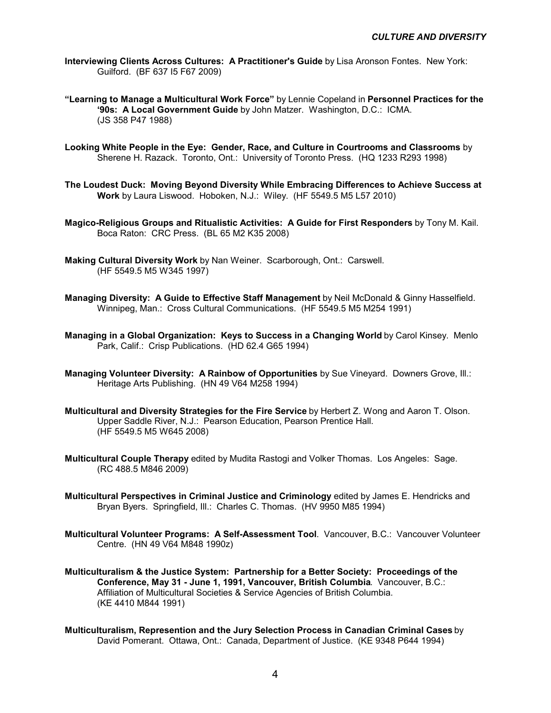- **Interviewing Clients Across Cultures: A Practitioner's Guide** by Lisa Aronson Fontes. New York: Guilford. (BF 637 I5 F67 2009)
- **"Learning to Manage a Multicultural Work Force"** by Lennie Copeland in **Personnel Practices for the '90s: A Local Government Guide** by John Matzer. Washington, D.C.: ICMA. (JS 358 P47 1988)
- **Looking White People in the Eye: Gender, Race, and Culture in Courtrooms and Classrooms** by Sherene H. Razack. Toronto, Ont.: University of Toronto Press. (HQ 1233 R293 1998)
- **The Loudest Duck: Moving Beyond Diversity While Embracing Differences to Achieve Success at Work** by Laura Liswood. Hoboken, N.J.: Wiley. (HF 5549.5 M5 L57 2010)
- **Magico-Religious Groups and Ritualistic Activities: A Guide for First Responders** by Tony M. Kail. Boca Raton: CRC Press. (BL 65 M2 K35 2008)
- **Making Cultural Diversity Work** by Nan Weiner. Scarborough, Ont.: Carswell. (HF 5549.5 M5 W345 1997)
- **Managing Diversity: A Guide to Effective Staff Management** by Neil McDonald & Ginny Hasselfield. Winnipeg, Man.: Cross Cultural Communications. (HF 5549.5 M5 M254 1991)
- **Managing in a Global Organization: Keys to Success in a Changing World** by Carol Kinsey. Menlo Park, Calif.: Crisp Publications. (HD 62.4 G65 1994)
- **Managing Volunteer Diversity: A Rainbow of Opportunities** by Sue Vineyard. Downers Grove, Ill.: Heritage Arts Publishing. (HN 49 V64 M258 1994)
- **Multicultural and Diversity Strategies for the Fire Service** by Herbert Z. Wong and Aaron T. Olson. Upper Saddle River, N.J.: Pearson Education, Pearson Prentice Hall. (HF 5549.5 M5 W645 2008)
- **Multicultural Couple Therapy** edited by Mudita Rastogi and Volker Thomas. Los Angeles: Sage. (RC 488.5 M846 2009)
- **Multicultural Perspectives in Criminal Justice and Criminology** edited by James E. Hendricks and Bryan Byers. Springfield, Ill.: Charles C. Thomas. (HV 9950 M85 1994)
- **Multicultural Volunteer Programs: A Self-Assessment Tool**. Vancouver, B.C.: Vancouver Volunteer Centre. (HN 49 V64 M848 1990z)
- **Multiculturalism & the Justice System: Partnership for a Better Society: Proceedings of the Conference, May 31 - June 1, 1991, Vancouver, British Columbia**. Vancouver, B.C.: Affiliation of Multicultural Societies & Service Agencies of British Columbia. (KE 4410 M844 1991)
- **Multiculturalism, Represention and the Jury Selection Process in Canadian Criminal Cases** by David Pomerant. Ottawa, Ont.: Canada, Department of Justice. (KE 9348 P644 1994)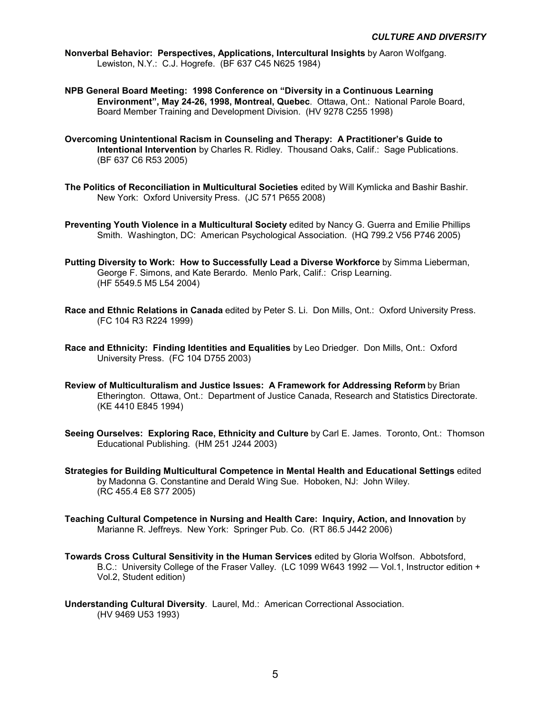**Nonverbal Behavior: Perspectives, Applications, Intercultural Insights** by Aaron Wolfgang. Lewiston, N.Y.: C.J. Hogrefe. (BF 637 C45 N625 1984)

- **NPB General Board Meeting: 1998 Conference on "Diversity in a Continuous Learning Environment", May 24-26, 1998, Montreal, Quebec**. Ottawa, Ont.: National Parole Board, Board Member Training and Development Division. (HV 9278 C255 1998)
- **Overcoming Unintentional Racism in Counseling and Therapy: A Practitioner's Guide to Intentional Intervention** by Charles R. Ridley. Thousand Oaks, Calif.: Sage Publications. (BF 637 C6 R53 2005)
- **The Politics of Reconciliation in Multicultural Societies** edited by Will Kymlicka and Bashir Bashir. New York: Oxford University Press. (JC 571 P655 2008)
- **Preventing Youth Violence in a Multicultural Society** edited by Nancy G. Guerra and Emilie Phillips Smith. Washington, DC: American Psychological Association. (HQ 799.2 V56 P746 2005)
- **Putting Diversity to Work: How to Successfully Lead a Diverse Workforce** by Simma Lieberman, George F. Simons, and Kate Berardo. Menlo Park, Calif.: Crisp Learning. (HF 5549.5 M5 L54 2004)
- **Race and Ethnic Relations in Canada** edited by Peter S. Li. Don Mills, Ont.: Oxford University Press. (FC 104 R3 R224 1999)
- **Race and Ethnicity: Finding Identities and Equalities** by Leo Driedger. Don Mills, Ont.: Oxford University Press. (FC 104 D755 2003)
- **Review of Multiculturalism and Justice Issues: A Framework for Addressing Reform** by Brian Etherington. Ottawa, Ont.: Department of Justice Canada, Research and Statistics Directorate. (KE 4410 E845 1994)
- **Seeing Ourselves: Exploring Race, Ethnicity and Culture** by Carl E. James. Toronto, Ont.: Thomson Educational Publishing. (HM 251 J244 2003)
- **Strategies for Building Multicultural Competence in Mental Health and Educational Settings** edited by Madonna G. Constantine and Derald Wing Sue. Hoboken, NJ: John Wiley. (RC 455.4 E8 S77 2005)
- **Teaching Cultural Competence in Nursing and Health Care: Inquiry, Action, and Innovation** by Marianne R. Jeffreys. New York: Springer Pub. Co. (RT 86.5 J442 2006)
- **Towards Cross Cultural Sensitivity in the Human Services** edited by Gloria Wolfson. Abbotsford, B.C.: University College of the Fraser Valley. (LC 1099 W643 1992 — Vol.1, Instructor edition + Vol.2, Student edition)
- **Understanding Cultural Diversity**. Laurel, Md.: American Correctional Association. (HV 9469 U53 1993)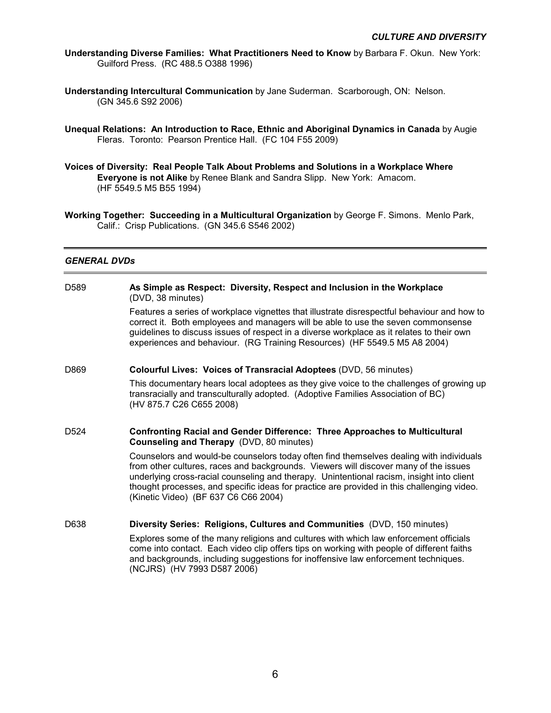- **Understanding Diverse Families: What Practitioners Need to Know** by Barbara F. Okun. New York: Guilford Press. (RC 488.5 O388 1996)
- **Understanding Intercultural Communication** by Jane Suderman. Scarborough, ON: Nelson. (GN 345.6 S92 2006)
- **Unequal Relations: An Introduction to Race, Ethnic and Aboriginal Dynamics in Canada** by Augie Fleras. Toronto: Pearson Prentice Hall. (FC 104 F55 2009)
- **Voices of Diversity: Real People Talk About Problems and Solutions in a Workplace Where Everyone is not Alike** by Renee Blank and Sandra Slipp. New York: Amacom. (HF 5549.5 M5 B55 1994)
- **Working Together: Succeeding in a Multicultural Organization** by George F. Simons. Menlo Park, Calif.: Crisp Publications. (GN 345.6 S546 2002)

## *GENERAL DVDs*

D589 **As Simple as Respect: Diversity, Respect and Inclusion in the Workplace**  (DVD, 38 minutes) Features a series of workplace vignettes that illustrate disrespectful behaviour and how to correct it. Both employees and managers will be able to use the seven commonsense guidelines to discuss issues of respect in a diverse workplace as it relates to their own experiences and behaviour. (RG Training Resources) (HF 5549.5 M5 A8 2004) D869 **Colourful Lives: Voices of Transracial Adoptees** (DVD, 56 minutes) This documentary hears local adoptees as they give voice to the challenges of growing up transracially and transculturally adopted. (Adoptive Families Association of BC) (HV 875.7 C26 C655 2008) D524 **Confronting Racial and Gender Difference: Three Approaches to Multicultural Counseling and Therapy** (DVD, 80 minutes) Counselors and would-be counselors today often find themselves dealing with individuals from other cultures, races and backgrounds. Viewers will discover many of the issues underlying cross-racial counseling and therapy. Unintentional racism, insight into client thought processes, and specific ideas for practice are provided in this challenging video. (Kinetic Video) (BF 637 C6 C66 2004) D638 **Diversity Series: Religions, Cultures and Communities** (DVD, 150 minutes) Explores some of the many religions and cultures with which law enforcement officials come into contact. Each video clip offers tips on working with people of different faiths and backgrounds, including suggestions for inoffensive law enforcement techniques. (NCJRS) (HV 7993 D587 2006)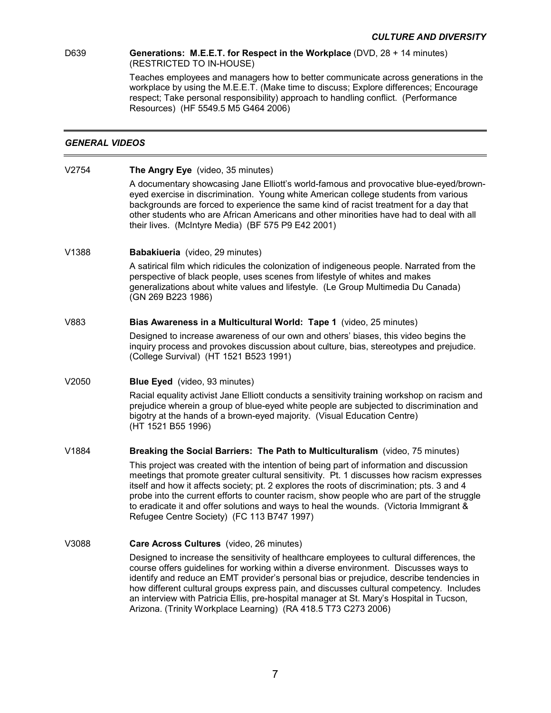## D639 **Generations: M.E.E.T. for Respect in the Workplace** (DVD, 28 + 14 minutes)

(RESTRICTED TO IN-HOUSE)

Teaches employees and managers how to better communicate across generations in the workplace by using the M.E.E.T. (Make time to discuss; Explore differences; Encourage respect; Take personal responsibility) approach to handling conflict. (Performance Resources) (HF 5549.5 M5 G464 2006)

## *GENERAL VIDEOS*

V2754 **The Angry Eye** (video, 35 minutes)

A documentary showcasing Jane Elliott's world-famous and provocative blue-eyed/browneyed exercise in discrimination. Young white American college students from various backgrounds are forced to experience the same kind of racist treatment for a day that other students who are African Americans and other minorities have had to deal with all their lives. (McIntyre Media) (BF 575 P9 E42 2001)

V1388 **Babakiueria** (video, 29 minutes)

A satirical film which ridicules the colonization of indigeneous people. Narrated from the perspective of black people, uses scenes from lifestyle of whites and makes generalizations about white values and lifestyle. (Le Group Multimedia Du Canada) (GN 269 B223 1986)

## V883 **Bias Awareness in a Multicultural World: Tape 1** (video, 25 minutes)

 Designed to increase awareness of our own and others' biases, this video begins the inquiry process and provokes discussion about culture, bias, stereotypes and prejudice. (College Survival) (HT 1521 B523 1991)

## V2050 **Blue Eyed** (video, 93 minutes)

 Racial equality activist Jane Elliott conducts a sensitivity training workshop on racism and prejudice wherein a group of blue-eyed white people are subjected to discrimination and bigotry at the hands of a brown-eyed majority. (Visual Education Centre) (HT 1521 B55 1996)

## V1884 **Breaking the Social Barriers: The Path to Multiculturalism** (video, 75 minutes)

 This project was created with the intention of being part of information and discussion meetings that promote greater cultural sensitivity. Pt. 1 discusses how racism expresses itself and how it affects society; pt. 2 explores the roots of discrimination; pts. 3 and 4 probe into the current efforts to counter racism, show people who are part of the struggle to eradicate it and offer solutions and ways to heal the wounds. (Victoria Immigrant & Refugee Centre Society) (FC 113 B747 1997)

## V3088 **Care Across Cultures** (video, 26 minutes)

 Designed to increase the sensitivity of healthcare employees to cultural differences, the course offers guidelines for working within a diverse environment. Discusses ways to identify and reduce an EMT provider's personal bias or prejudice, describe tendencies in how different cultural groups express pain, and discusses cultural competency. Includes an interview with Patricia Ellis, pre-hospital manager at St. Mary's Hospital in Tucson, Arizona. (Trinity Workplace Learning) (RA 418.5 T73 C273 2006)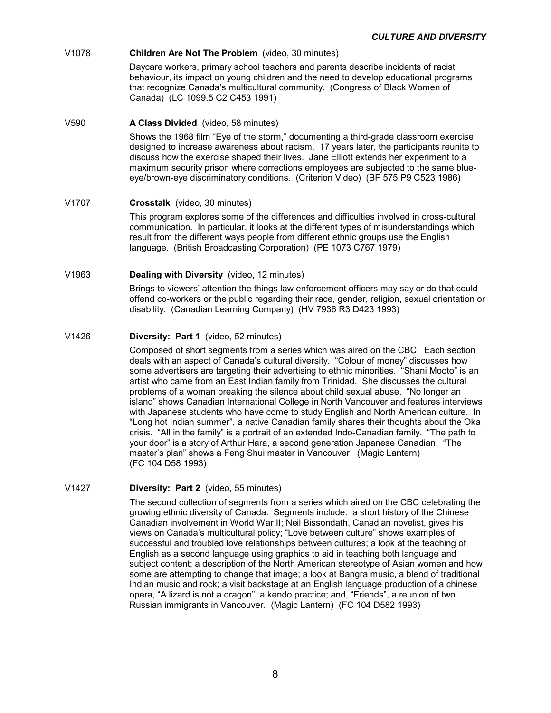## V1078 **Children Are Not The Problem** (video, 30 minutes)

 Daycare workers, primary school teachers and parents describe incidents of racist behaviour, its impact on young children and the need to develop educational programs that recognize Canada's multicultural community. (Congress of Black Women of Canada) (LC 1099.5 C2 C453 1991)

## V590 **A Class Divided** (video, 58 minutes)

 Shows the 1968 film "Eye of the storm," documenting a third-grade classroom exercise designed to increase awareness about racism. 17 years later, the participants reunite to discuss how the exercise shaped their lives. Jane Elliott extends her experiment to a maximum security prison where corrections employees are subjected to the same blueeye/brown-eye discriminatory conditions. (Criterion Video) (BF 575 P9 C523 1986)

## V1707 **Crosstalk** (video, 30 minutes)

 This program explores some of the differences and difficulties involved in cross-cultural communication. In particular, it looks at the different types of misunderstandings which result from the different ways people from different ethnic groups use the English language. (British Broadcasting Corporation) (PE 1073 C767 1979)

## V1963 **Dealing with Diversity** (video, 12 minutes)

 Brings to viewers' attention the things law enforcement officers may say or do that could offend co-workers or the public regarding their race, gender, religion, sexual orientation or disability. (Canadian Learning Company) (HV 7936 R3 D423 1993)

## V1426 **Diversity: Part 1** (video, 52 minutes)

 Composed of short segments from a series which was aired on the CBC. Each section deals with an aspect of Canada's cultural diversity. "Colour of money" discusses how some advertisers are targeting their advertising to ethnic minorities. "Shani Mooto" is an artist who came from an East Indian family from Trinidad. She discusses the cultural problems of a woman breaking the silence about child sexual abuse. "No longer an island" shows Canadian International College in North Vancouver and features interviews with Japanese students who have come to study English and North American culture. In "Long hot Indian summer", a native Canadian family shares their thoughts about the Oka crisis. "All in the family" is a portrait of an extended Indo-Canadian family. "The path to your door" is a story of Arthur Hara, a second generation Japanese Canadian. "The master's plan" shows a Feng Shui master in Vancouver. (Magic Lantern) (FC 104 D58 1993)

## V1427 **Diversity: Part 2** (video, 55 minutes)

 The second collection of segments from a series which aired on the CBC celebrating the growing ethnic diversity of Canada. Segments include: a short history of the Chinese Canadian involvement in World War II; Neil Bissondath, Canadian novelist, gives his views on Canada's multicultural policy; "Love between culture" shows examples of successful and troubled love relationships between cultures; a look at the teaching of English as a second language using graphics to aid in teaching both language and subject content; a description of the North American stereotype of Asian women and how some are attempting to change that image; a look at Bangra music, a blend of traditional Indian music and rock; a visit backstage at an English language production of a chinese opera, "A lizard is not a dragon"; a kendo practice; and, "Friends", a reunion of two Russian immigrants in Vancouver. (Magic Lantern) (FC 104 D582 1993)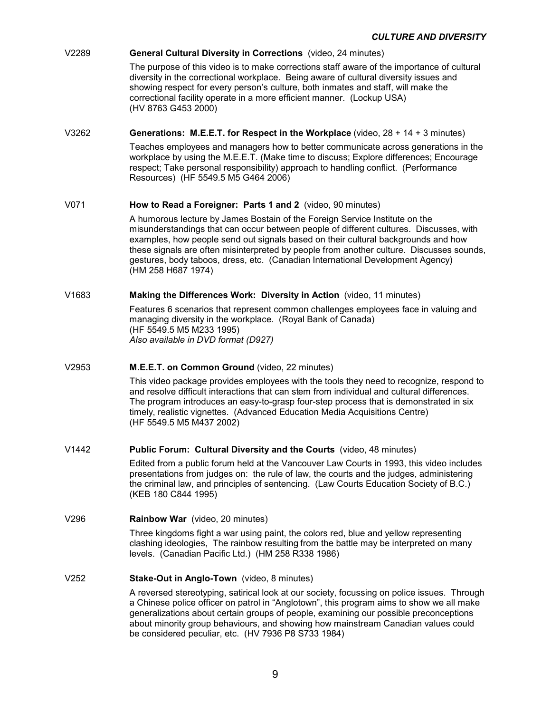## V2289 **General Cultural Diversity in Corrections** (video, 24 minutes)

 The purpose of this video is to make corrections staff aware of the importance of cultural diversity in the correctional workplace. Being aware of cultural diversity issues and showing respect for every person's culture, both inmates and staff, will make the correctional facility operate in a more efficient manner. (Lockup USA) (HV 8763 G453 2000)

## V3262 **Generations: M.E.E.T. for Respect in the Workplace** (video, 28 + 14 + 3 minutes)

Teaches employees and managers how to better communicate across generations in the workplace by using the M.E.E.T. (Make time to discuss; Explore differences; Encourage respect; Take personal responsibility) approach to handling conflict. (Performance Resources) (HF 5549.5 M5 G464 2006)

#### V071 **How to Read a Foreigner: Parts 1 and 2** (video, 90 minutes)

 A humorous lecture by James Bostain of the Foreign Service Institute on the misunderstandings that can occur between people of different cultures. Discusses, with examples, how people send out signals based on their cultural backgrounds and how these signals are often misinterpreted by people from another culture. Discusses sounds, gestures, body taboos, dress, etc. (Canadian International Development Agency) (HM 258 H687 1974)

#### V1683 **Making the Differences Work: Diversity in Action** (video, 11 minutes)

 Features 6 scenarios that represent common challenges employees face in valuing and managing diversity in the workplace. (Royal Bank of Canada) (HF 5549.5 M5 M233 1995) *Also available in DVD format (D927)* 

## V2953 **M.E.E.T. on Common Ground** (video, 22 minutes)

This video package provides employees with the tools they need to recognize, respond to and resolve difficult interactions that can stem from individual and cultural differences. The program introduces an easy-to-grasp four-step process that is demonstrated in six timely, realistic vignettes. (Advanced Education Media Acquisitions Centre) (HF 5549.5 M5 M437 2002)

## V1442 **Public Forum: Cultural Diversity and the Courts** (video, 48 minutes)

 Edited from a public forum held at the Vancouver Law Courts in 1993, this video includes presentations from judges on: the rule of law, the courts and the judges, administering the criminal law, and principles of sentencing. (Law Courts Education Society of B.C.) (KEB 180 C844 1995)

## V296 **Rainbow War** (video, 20 minutes)

 Three kingdoms fight a war using paint, the colors red, blue and yellow representing clashing ideologies, The rainbow resulting from the battle may be interpreted on many levels. (Canadian Pacific Ltd.) (HM 258 R338 1986)

## V252 **Stake-Out in Anglo-Town** (video, 8 minutes)

 A reversed stereotyping, satirical look at our society, focussing on police issues. Through a Chinese police officer on patrol in "Anglotown", this program aims to show we all make generalizations about certain groups of people, examining our possible preconceptions about minority group behaviours, and showing how mainstream Canadian values could be considered peculiar, etc. (HV 7936 P8 S733 1984)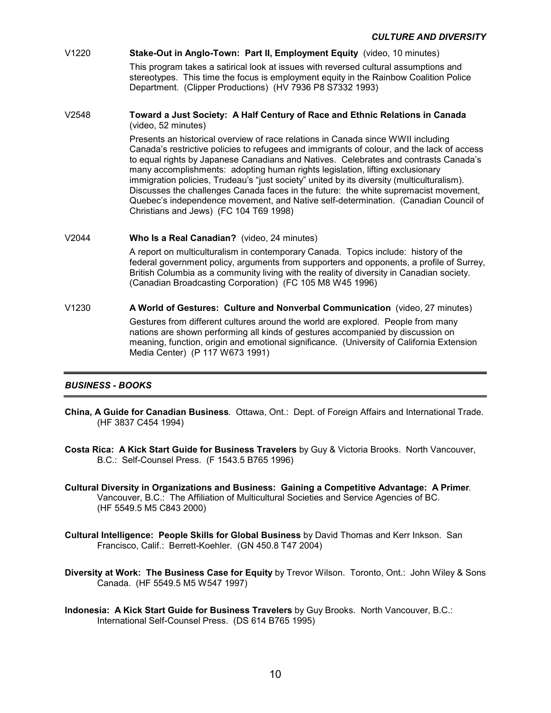#### V1220 **Stake-Out in Anglo-Town: Part II, Employment Equity** (video, 10 minutes)

 This program takes a satirical look at issues with reversed cultural assumptions and stereotypes. This time the focus is employment equity in the Rainbow Coalition Police Department. (Clipper Productions) (HV 7936 P8 S7332 1993)

#### V2548 **Toward a Just Society: A Half Century of Race and Ethnic Relations in Canada** (video, 52 minutes)

 Presents an historical overview of race relations in Canada since WWII including Canada's restrictive policies to refugees and immigrants of colour, and the lack of access to equal rights by Japanese Canadians and Natives. Celebrates and contrasts Canada's many accomplishments: adopting human rights legislation, lifting exclusionary immigration policies, Trudeau's "just society" united by its diversity (multiculturalism). Discusses the challenges Canada faces in the future: the white supremacist movement, Quebec's independence movement, and Native self-determination. (Canadian Council of Christians and Jews) (FC 104 T69 1998)

#### V2044 **Who Is a Real Canadian?** (video, 24 minutes)

 A report on multiculturalism in contemporary Canada. Topics include: history of the federal government policy, arguments from supporters and opponents, a profile of Surrey, British Columbia as a community living with the reality of diversity in Canadian society. (Canadian Broadcasting Corporation) (FC 105 M8 W45 1996)

## V1230 **A World of Gestures: Culture and Nonverbal Communication** (video, 27 minutes)

 Gestures from different cultures around the world are explored. People from many nations are shown performing all kinds of gestures accompanied by discussion on meaning, function, origin and emotional significance. (University of California Extension Media Center) (P 117 W673 1991)

## *BUSINESS - BOOKS*

- **China, A Guide for Canadian Business**. Ottawa, Ont.: Dept. of Foreign Affairs and International Trade. (HF 3837 C454 1994)
- **Costa Rica: A Kick Start Guide for Business Travelers** by Guy & Victoria Brooks. North Vancouver, B.C.: Self-Counsel Press. (F 1543.5 B765 1996)
- **Cultural Diversity in Organizations and Business: Gaining a Competitive Advantage: A Primer**. Vancouver, B.C.: The Affiliation of Multicultural Societies and Service Agencies of BC. (HF 5549.5 M5 C843 2000)
- **Cultural Intelligence: People Skills for Global Business** by David Thomas and Kerr Inkson. San Francisco, Calif.: Berrett-Koehler. (GN 450.8 T47 2004)
- **Diversity at Work: The Business Case for Equity** by Trevor Wilson. Toronto, Ont.: John Wiley & Sons Canada. (HF 5549.5 M5 W547 1997)
- **Indonesia: A Kick Start Guide for Business Travelers** by Guy Brooks. North Vancouver, B.C.: International Self-Counsel Press. (DS 614 B765 1995)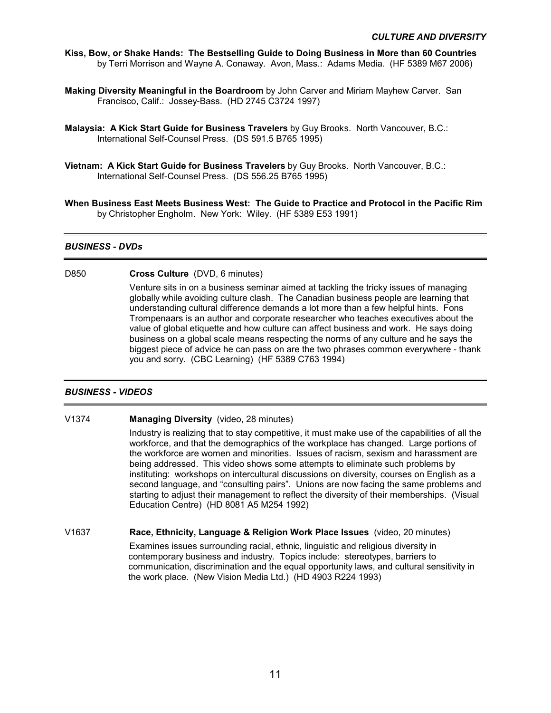- **Kiss, Bow, or Shake Hands: The Bestselling Guide to Doing Business in More than 60 Countries** by Terri Morrison and Wayne A. Conaway. Avon, Mass.: Adams Media. (HF 5389 M67 2006)
- **Making Diversity Meaningful in the Boardroom** by John Carver and Miriam Mayhew Carver. San Francisco, Calif.: Jossey-Bass. (HD 2745 C3724 1997)
- **Malaysia: A Kick Start Guide for Business Travelers** by Guy Brooks. North Vancouver, B.C.: International Self-Counsel Press. (DS 591.5 B765 1995)
- **Vietnam: A Kick Start Guide for Business Travelers** by Guy Brooks. North Vancouver, B.C.: International Self-Counsel Press. (DS 556.25 B765 1995)
- **When Business East Meets Business West: The Guide to Practice and Protocol in the Pacific Rim** by Christopher Engholm. New York: Wiley. (HF 5389 E53 1991)

## *BUSINESS - DVDs*

#### D850 **Cross Culture** (DVD, 6 minutes)

Venture sits in on a business seminar aimed at tackling the tricky issues of managing globally while avoiding culture clash. The Canadian business people are learning that understanding cultural difference demands a lot more than a few helpful hints. Fons Trompenaars is an author and corporate researcher who teaches executives about the value of global etiquette and how culture can affect business and work. He says doing business on a global scale means respecting the norms of any culture and he says the biggest piece of advice he can pass on are the two phrases common everywhere - thank you and sorry. (CBC Learning) (HF 5389 C763 1994)

## *BUSINESS - VIDEOS*

#### V1374 **Managing Diversity** (video, 28 minutes)

 Industry is realizing that to stay competitive, it must make use of the capabilities of all the workforce, and that the demographics of the workplace has changed. Large portions of the workforce are women and minorities. Issues of racism, sexism and harassment are being addressed. This video shows some attempts to eliminate such problems by instituting: workshops on intercultural discussions on diversity, courses on English as a second language, and "consulting pairs". Unions are now facing the same problems and starting to adjust their management to reflect the diversity of their memberships. (Visual Education Centre) (HD 8081 A5 M254 1992)

V1637 **Race, Ethnicity, Language & Religion Work Place Issues** (video, 20 minutes) Examines issues surrounding racial, ethnic, linguistic and religious diversity in contemporary business and industry. Topics include: stereotypes, barriers to communication, discrimination and the equal opportunity laws, and cultural sensitivity in the work place. (New Vision Media Ltd.) (HD 4903 R224 1993)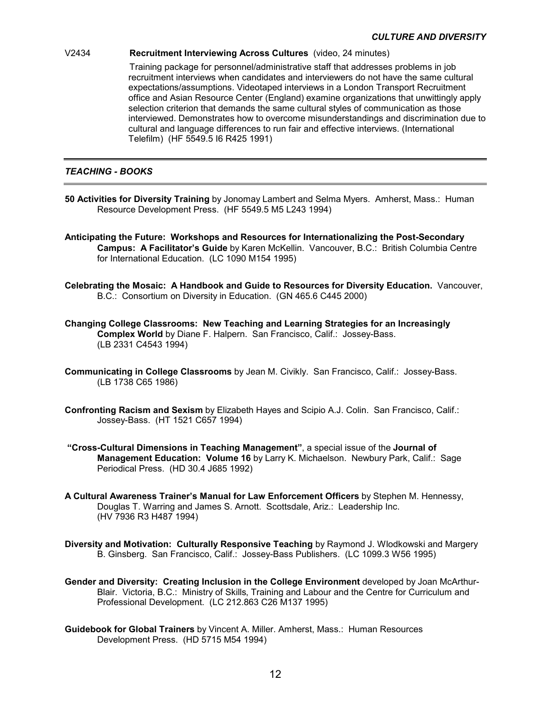## V2434 **Recruitment Interviewing Across Cultures** (video, 24 minutes)

 Training package for personnel/administrative staff that addresses problems in job recruitment interviews when candidates and interviewers do not have the same cultural expectations/assumptions. Videotaped interviews in a London Transport Recruitment office and Asian Resource Center (England) examine organizations that unwittingly apply selection criterion that demands the same cultural styles of communication as those interviewed. Demonstrates how to overcome misunderstandings and discrimination due to cultural and language differences to run fair and effective interviews. (International Telefilm) (HF 5549.5 I6 R425 1991)

## *TEACHING - BOOKS*

- **50 Activities for Diversity Training** by Jonomay Lambert and Selma Myers. Amherst, Mass.: Human Resource Development Press. (HF 5549.5 M5 L243 1994)
- **Anticipating the Future: Workshops and Resources for Internationalizing the Post-Secondary Campus: A Facilitator's Guide** by Karen McKellin. Vancouver, B.C.: British Columbia Centre for International Education. (LC 1090 M154 1995)
- **Celebrating the Mosaic: A Handbook and Guide to Resources for Diversity Education.** Vancouver, B.C.: Consortium on Diversity in Education. (GN 465.6 C445 2000)
- **Changing College Classrooms: New Teaching and Learning Strategies for an Increasingly Complex World** by Diane F. Halpern. San Francisco, Calif.: Jossey-Bass. (LB 2331 C4543 1994)
- **Communicating in College Classrooms** by Jean M. Civikly. San Francisco, Calif.: Jossey-Bass. (LB 1738 C65 1986)
- **Confronting Racism and Sexism** by Elizabeth Hayes and Scipio A.J. Colin. San Francisco, Calif.: Jossey-Bass. (HT 1521 C657 1994)
- **"Cross-Cultural Dimensions in Teaching Management"**, a special issue of the **Journal of Management Education: Volume 16** by Larry K. Michaelson. Newbury Park, Calif.: Sage Periodical Press. (HD 30.4 J685 1992)
- **A Cultural Awareness Trainer's Manual for Law Enforcement Officers** by Stephen M. Hennessy, Douglas T. Warring and James S. Arnott. Scottsdale, Ariz.: Leadership Inc. (HV 7936 R3 H487 1994)
- **Diversity and Motivation: Culturally Responsive Teaching** by Raymond J. Wlodkowski and Margery B. Ginsberg. San Francisco, Calif.: Jossey-Bass Publishers. (LC 1099.3 W56 1995)
- **Gender and Diversity: Creating Inclusion in the College Environment** developed by Joan McArthur-Blair. Victoria, B.C.: Ministry of Skills, Training and Labour and the Centre for Curriculum and Professional Development. (LC 212.863 C26 M137 1995)
- **Guidebook for Global Trainers** by Vincent A. Miller. Amherst, Mass.: Human Resources Development Press. (HD 5715 M54 1994)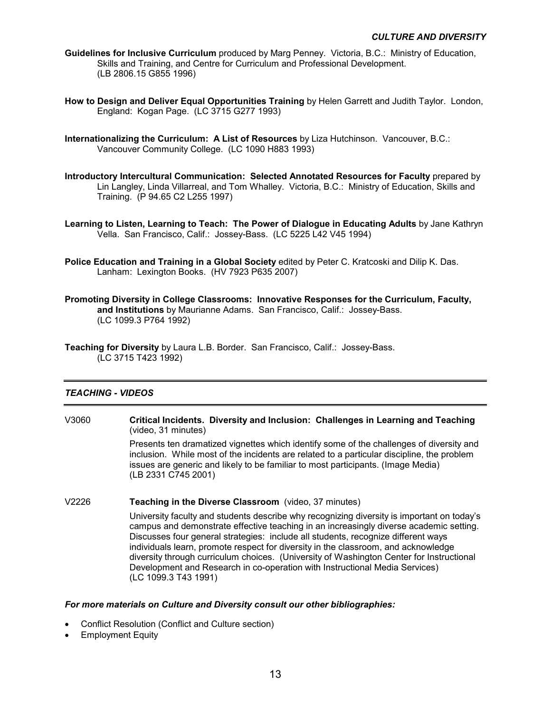- **Guidelines for Inclusive Curriculum** produced by Marg Penney. Victoria, B.C.: Ministry of Education, Skills and Training, and Centre for Curriculum and Professional Development. (LB 2806.15 G855 1996)
- **How to Design and Deliver Equal Opportunities Training** by Helen Garrett and Judith Taylor. London, England: Kogan Page. (LC 3715 G277 1993)
- **Internationalizing the Curriculum: A List of Resources** by Liza Hutchinson. Vancouver, B.C.: Vancouver Community College. (LC 1090 H883 1993)
- **Introductory Intercultural Communication: Selected Annotated Resources for Faculty** prepared by Lin Langley, Linda Villarreal, and Tom Whalley. Victoria, B.C.: Ministry of Education, Skills and Training. (P 94.65 C2 L255 1997)
- **Learning to Listen, Learning to Teach: The Power of Dialogue in Educating Adults** by Jane Kathryn Vella. San Francisco, Calif.: Jossey-Bass. (LC 5225 L42 V45 1994)
- **Police Education and Training in a Global Society** edited by Peter C. Kratcoski and Dilip K. Das. Lanham: Lexington Books. (HV 7923 P635 2007)
- **Promoting Diversity in College Classrooms: Innovative Responses for the Curriculum, Faculty, and Institutions** by Maurianne Adams. San Francisco, Calif.: Jossey-Bass. (LC 1099.3 P764 1992)
- **Teaching for Diversity** by Laura L.B. Border. San Francisco, Calif.: Jossey-Bass. (LC 3715 T423 1992)

## *TEACHING - VIDEOS*

- V3060 **Critical Incidents. Diversity and Inclusion: Challenges in Learning and Teaching** (video, 31 minutes) Presents ten dramatized vignettes which identify some of the challenges of diversity and inclusion. While most of the incidents are related to a particular discipline, the problem issues are generic and likely to be familiar to most participants. (Image Media) (LB 2331 C745 2001)
- V2226 **Teaching in the Diverse Classroom** (video, 37 minutes) University faculty and students describe why recognizing diversity is important on today's campus and demonstrate effective teaching in an increasingly diverse academic setting. Discusses four general strategies: include all students, recognize different ways individuals learn, promote respect for diversity in the classroom, and acknowledge diversity through curriculum choices. (University of Washington Center for Instructional Development and Research in co-operation with Instructional Media Services) (LC 1099.3 T43 1991)

## *For more materials on Culture and Diversity consult our other bibliographies:*

- Conflict Resolution (Conflict and Culture section)
- **Employment Equity**